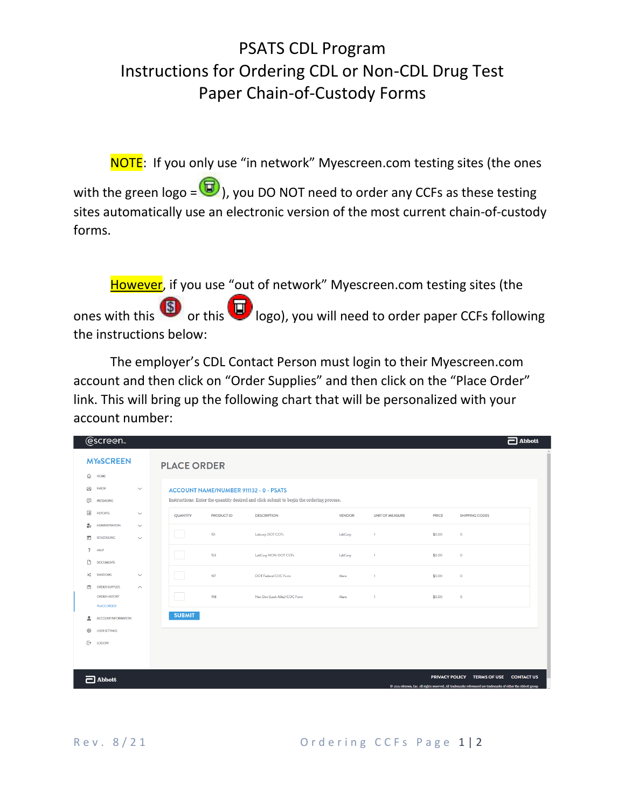## PSATS CDL Program Instructions for Ordering CDL or Non-CDL Drug Test Paper Chain-of-Custody Forms

NOTE: If you only use "in network" Myescreen.com testing sites (the ones with the green logo =  $\bullet$ ), you DO NOT need to order any CCFs as these testing sites automatically use an electronic version of the most current chain-of-custody forms.

However, if you use "out of network" Myescreen.com testing sites (the ones with this **S** or this logo), you will need to order paper CCFs following the instructions below:

The employer's CDL Contact Person must login to their Myescreen.com account and then click on "Order Supplies" and then click on the "Place Order" link. This will bring up the following chart that will be personalized with your account number:

| <b>MYeSCREEN</b><br><b>PLACE ORDER</b><br>⇧<br><b>HOME</b><br>凼<br><b>INBOX</b><br>$\check{~}$<br><b>ACCOUNT NAME/NUMBER 911132 - 0 - PSATS</b><br>Instructions: Enter the quantity desired and click submit to begin the ordering process.<br>⊜<br><b>MESSAGING</b><br>$\overline{d}$<br><b>REPORTS</b><br>$\checkmark$<br>QUANTITY<br><b>PRODUCT ID</b><br><b>DESCRIPTION</b><br><b>VENDOR</b><br><b>UNIT OF MEASURE</b><br><b>PRICE</b><br>SHIPPING CODES<br>$\frac{9}{40}$<br><b>ADMINISTRATION</b><br>$\checkmark$<br>151<br>Labcorp DOT CCFs<br>LabCorp<br>\$0.00<br>$\circ$<br>$\overline{1}$<br>₩<br><b>SCHEDULING</b><br>$\checkmark$<br>?<br>HELP<br>153<br>LabCorp NON-DOT CCFs<br>$\circ$<br>LabCorp<br>\$0.00<br>$\overline{1}$<br>G<br><b>DOCUMENTS</b><br>x,<br><b>RANDOMS</b><br>$\checkmark$<br>197<br>DOT Federal COC Form<br>\$0.00<br>$\circ$<br>Alere<br>$\overline{1}$<br>西<br><b>ORDER SUPPLIES</b><br>$\wedge$<br>198<br>Non Dot (Look Alike) COC Form<br>$\circ$<br><b>ORDER HISTORY</b><br>\$0.00<br>Alere<br>$\overline{1}$<br><b>PLACE ORDER</b><br><b>SUBMIT</b><br>٠<br>ACCOUNT INFORMATION | @screen.                  |  |  |  |  | $\Box$ Abbott     |
|---------------------------------------------------------------------------------------------------------------------------------------------------------------------------------------------------------------------------------------------------------------------------------------------------------------------------------------------------------------------------------------------------------------------------------------------------------------------------------------------------------------------------------------------------------------------------------------------------------------------------------------------------------------------------------------------------------------------------------------------------------------------------------------------------------------------------------------------------------------------------------------------------------------------------------------------------------------------------------------------------------------------------------------------------------------------------------------------------------------------------|---------------------------|--|--|--|--|-------------------|
|                                                                                                                                                                                                                                                                                                                                                                                                                                                                                                                                                                                                                                                                                                                                                                                                                                                                                                                                                                                                                                                                                                                           |                           |  |  |  |  |                   |
|                                                                                                                                                                                                                                                                                                                                                                                                                                                                                                                                                                                                                                                                                                                                                                                                                                                                                                                                                                                                                                                                                                                           |                           |  |  |  |  |                   |
|                                                                                                                                                                                                                                                                                                                                                                                                                                                                                                                                                                                                                                                                                                                                                                                                                                                                                                                                                                                                                                                                                                                           |                           |  |  |  |  |                   |
|                                                                                                                                                                                                                                                                                                                                                                                                                                                                                                                                                                                                                                                                                                                                                                                                                                                                                                                                                                                                                                                                                                                           |                           |  |  |  |  |                   |
|                                                                                                                                                                                                                                                                                                                                                                                                                                                                                                                                                                                                                                                                                                                                                                                                                                                                                                                                                                                                                                                                                                                           |                           |  |  |  |  |                   |
|                                                                                                                                                                                                                                                                                                                                                                                                                                                                                                                                                                                                                                                                                                                                                                                                                                                                                                                                                                                                                                                                                                                           |                           |  |  |  |  |                   |
|                                                                                                                                                                                                                                                                                                                                                                                                                                                                                                                                                                                                                                                                                                                                                                                                                                                                                                                                                                                                                                                                                                                           |                           |  |  |  |  |                   |
|                                                                                                                                                                                                                                                                                                                                                                                                                                                                                                                                                                                                                                                                                                                                                                                                                                                                                                                                                                                                                                                                                                                           |                           |  |  |  |  |                   |
|                                                                                                                                                                                                                                                                                                                                                                                                                                                                                                                                                                                                                                                                                                                                                                                                                                                                                                                                                                                                                                                                                                                           |                           |  |  |  |  |                   |
|                                                                                                                                                                                                                                                                                                                                                                                                                                                                                                                                                                                                                                                                                                                                                                                                                                                                                                                                                                                                                                                                                                                           |                           |  |  |  |  |                   |
|                                                                                                                                                                                                                                                                                                                                                                                                                                                                                                                                                                                                                                                                                                                                                                                                                                                                                                                                                                                                                                                                                                                           |                           |  |  |  |  |                   |
|                                                                                                                                                                                                                                                                                                                                                                                                                                                                                                                                                                                                                                                                                                                                                                                                                                                                                                                                                                                                                                                                                                                           |                           |  |  |  |  |                   |
|                                                                                                                                                                                                                                                                                                                                                                                                                                                                                                                                                                                                                                                                                                                                                                                                                                                                                                                                                                                                                                                                                                                           |                           |  |  |  |  |                   |
|                                                                                                                                                                                                                                                                                                                                                                                                                                                                                                                                                                                                                                                                                                                                                                                                                                                                                                                                                                                                                                                                                                                           | 0<br><b>USER SETTINGS</b> |  |  |  |  |                   |
| $\quad \overline{\mapsto}$<br><b>LOGOFF</b>                                                                                                                                                                                                                                                                                                                                                                                                                                                                                                                                                                                                                                                                                                                                                                                                                                                                                                                                                                                                                                                                               |                           |  |  |  |  |                   |
|                                                                                                                                                                                                                                                                                                                                                                                                                                                                                                                                                                                                                                                                                                                                                                                                                                                                                                                                                                                                                                                                                                                           |                           |  |  |  |  |                   |
|                                                                                                                                                                                                                                                                                                                                                                                                                                                                                                                                                                                                                                                                                                                                                                                                                                                                                                                                                                                                                                                                                                                           |                           |  |  |  |  |                   |
| <b>PRIVACY POLICY</b><br><b>TERMS OF USE</b><br>$\Box$ Abbott<br>@ 2021 eScreen, Inc. All rights reserved. All trademarks referenced are trademarks of either the Abbott group                                                                                                                                                                                                                                                                                                                                                                                                                                                                                                                                                                                                                                                                                                                                                                                                                                                                                                                                            |                           |  |  |  |  | <b>CONTACT US</b> |